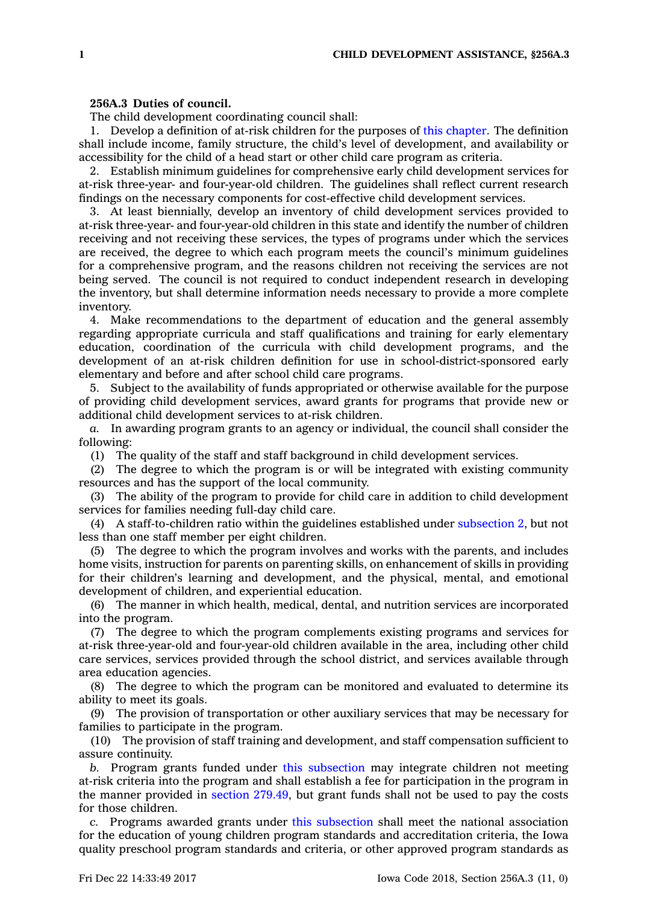## **256A.3 Duties of council.**

The child development coordinating council shall:

1. Develop <sup>a</sup> definition of at-risk children for the purposes of this [chapter](https://www.legis.iowa.gov/docs/code//256A.pdf). The definition shall include income, family structure, the child's level of development, and availability or accessibility for the child of <sup>a</sup> head start or other child care program as criteria.

2. Establish minimum guidelines for comprehensive early child development services for at-risk three-year- and four-year-old children. The guidelines shall reflect current research findings on the necessary components for cost-effective child development services.

3. At least biennially, develop an inventory of child development services provided to at-risk three-year- and four-year-old children in this state and identify the number of children receiving and not receiving these services, the types of programs under which the services are received, the degree to which each program meets the council's minimum guidelines for <sup>a</sup> comprehensive program, and the reasons children not receiving the services are not being served. The council is not required to conduct independent research in developing the inventory, but shall determine information needs necessary to provide <sup>a</sup> more complete inventory.

4. Make recommendations to the department of education and the general assembly regarding appropriate curricula and staff qualifications and training for early elementary education, coordination of the curricula with child development programs, and the development of an at-risk children definition for use in school-district-sponsored early elementary and before and after school child care programs.

5. Subject to the availability of funds appropriated or otherwise available for the purpose of providing child development services, award grants for programs that provide new or additional child development services to at-risk children.

*a.* In awarding program grants to an agency or individual, the council shall consider the following:

(1) The quality of the staff and staff background in child development services.

(2) The degree to which the program is or will be integrated with existing community resources and has the support of the local community.

(3) The ability of the program to provide for child care in addition to child development services for families needing full-day child care.

(4) A staff-to-children ratio within the guidelines established under [subsection](https://www.legis.iowa.gov/docs/code/256A.3.pdf) 2, but not less than one staff member per eight children.

(5) The degree to which the program involves and works with the parents, and includes home visits, instruction for parents on parenting skills, on enhancement of skills in providing for their children's learning and development, and the physical, mental, and emotional development of children, and experiential education.

(6) The manner in which health, medical, dental, and nutrition services are incorporated into the program.

(7) The degree to which the program complements existing programs and services for at-risk three-year-old and four-year-old children available in the area, including other child care services, services provided through the school district, and services available through area education agencies.

(8) The degree to which the program can be monitored and evaluated to determine its ability to meet its goals.

(9) The provision of transportation or other auxiliary services that may be necessary for families to participate in the program.

(10) The provision of staff training and development, and staff compensation sufficient to assure continuity.

*b.* Program grants funded under this [subsection](https://www.legis.iowa.gov/docs/code/256A.3.pdf) may integrate children not meeting at-risk criteria into the program and shall establish <sup>a</sup> fee for participation in the program in the manner provided in section [279.49](https://www.legis.iowa.gov/docs/code/279.49.pdf), but grant funds shall not be used to pay the costs for those children.

*c.* Programs awarded grants under this [subsection](https://www.legis.iowa.gov/docs/code/256A.3.pdf) shall meet the national association for the education of young children program standards and accreditation criteria, the Iowa quality preschool program standards and criteria, or other approved program standards as